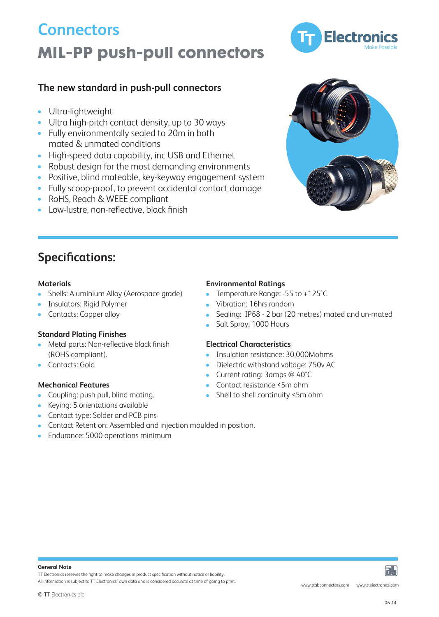# **MIL-PP push-pull connectors Connectors**

## **The new standard in push-pull connectors**

- $\bullet$ Ultra-lightweight
- Ultra high-pitch contact density, up to 30 ways
- Fully environmentally sealed to 20m in both mated & unmated conditions
- High-speed data capability, inc USB and Ethernet
- Robust design for the most demanding environments  $\bullet$
- Positive, blind mateable, key-keyway engagement system  $\bullet$
- Fully scoop-proof, to prevent accidental contact damage
- RoHS, Reach & WEEE compliant  $\bullet$
- Low-lustre, non-reflective, black finish

## **Specifications:**

- Shells: Aluminium Alloy (Aerospace grade) Temperature Range: -55 to +125°C
- 
- 

### **Standard Plating Finishes**

- Metal parts: Non-reflective black finish **Electrical Characteristics**
- 

- Coupling: push pull, blind mating. <br>• Shell to shell continuity <5m ohm
- Keying: 5 orientations available
- Contact type: Solder and PCB pins  $\bullet$
- Contact Retention: Assembled and injection moulded in position.
- Endurance: 5000 operations minimum

## **Materials Environmental Ratings**

- 
- Insulators: Rigid Polymer **Vibration: 16hrs random**
- Contacts: Copper alloy **Sealing: IP68 2 bar (20 metres) mated and un-mated** Contacts: Copper alloy
	- Salt Spray: 1000 Hours

- (ROHS compliant). Insulation resistance: 30,000Mohms
- Contacts: Gold **Dielectric withstand voltage: 750v AC** 
	- Current rating: 3amps @ 40°C
- **Mechanical Features** The Contact resistance <5m ohm
	-

TT Electronics reserves the right to make changes in product specification without notice or liability.

All information is subject to TT Electronics' own data and is considered accurate at time of going to print.





aь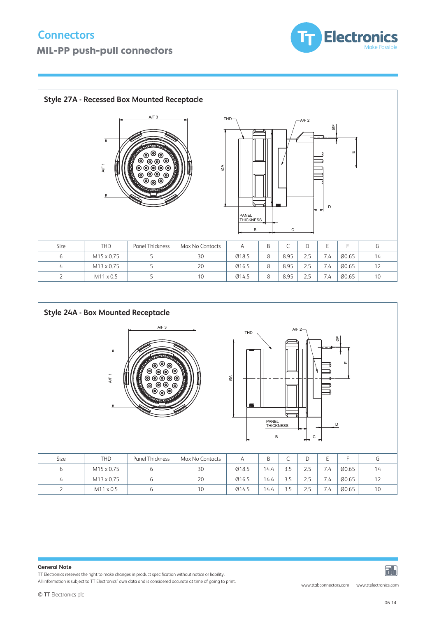

| Panel Thickness<br>Max No Contacts<br>THD<br>G<br>Size<br>B<br>D<br>Ø18.5<br>8<br>00.65<br>M15 x 0.75<br>30<br>8.95<br>2.5<br>7.4<br>14<br>6<br>5<br>20<br>Ø16.5<br>8<br>00.65<br>12<br>M13 x 0.75<br>5<br>8.95<br>7.4<br>2.5<br>$\overline{4}$<br>Ø14.5<br>10<br>8<br>8.95<br>2.5<br>00.65<br>10<br>$\overline{2}$<br>M11 x 0.5<br>5<br>7.4 | <b>Style 27A - Recessed Box Mounted Receptacle</b><br>AYF3<br>$THD \rightarrow$<br>$-A/F 2$<br>$\Box$<br>$\circ$<br><b>THE</b><br>$\overline{\mathbb{L}}$<br>$\overline{\phantom{a}}$<br>D<br>$\overline{\phantom{a}}$<br>PANEL<br>THICKNESS<br>B<br>C |  |  |  |  |  |  |  |  |  |  |  |  |  |  |  |  |  |  |  |  |
|----------------------------------------------------------------------------------------------------------------------------------------------------------------------------------------------------------------------------------------------------------------------------------------------------------------------------------------------|--------------------------------------------------------------------------------------------------------------------------------------------------------------------------------------------------------------------------------------------------------|--|--|--|--|--|--|--|--|--|--|--|--|--|--|--|--|--|--|--|--|
|                                                                                                                                                                                                                                                                                                                                              |                                                                                                                                                                                                                                                        |  |  |  |  |  |  |  |  |  |  |  |  |  |  |  |  |  |  |  |  |
|                                                                                                                                                                                                                                                                                                                                              |                                                                                                                                                                                                                                                        |  |  |  |  |  |  |  |  |  |  |  |  |  |  |  |  |  |  |  |  |
|                                                                                                                                                                                                                                                                                                                                              |                                                                                                                                                                                                                                                        |  |  |  |  |  |  |  |  |  |  |  |  |  |  |  |  |  |  |  |  |
|                                                                                                                                                                                                                                                                                                                                              |                                                                                                                                                                                                                                                        |  |  |  |  |  |  |  |  |  |  |  |  |  |  |  |  |  |  |  |  |



#### **General Note**

TT Electronics reserves the right to make changes in product specification without notice or liability.

TT electronics reserves the right to make changes in product specification without hotice or liability.<br>All information is subject to TT Electronics' own data and is considered accurate at time of going to print.

iэЫ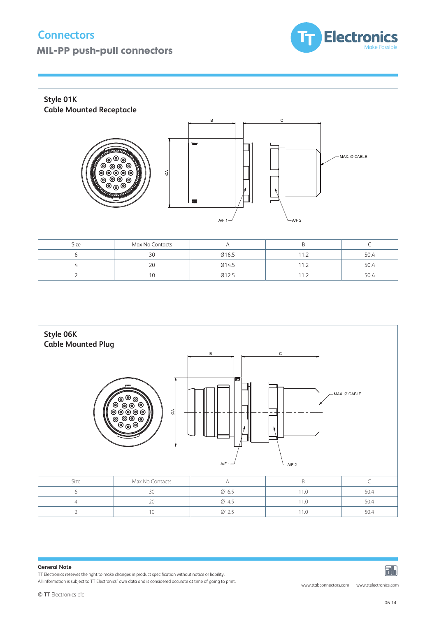## **Connectors**

## **MIL-PP push-pull connectors**







#### **General Note**

TT Electronics reserves the right to make changes in product specification without notice or liability.

All information is subject to TT Electronics' own data and is considered accurate at time of going to print.

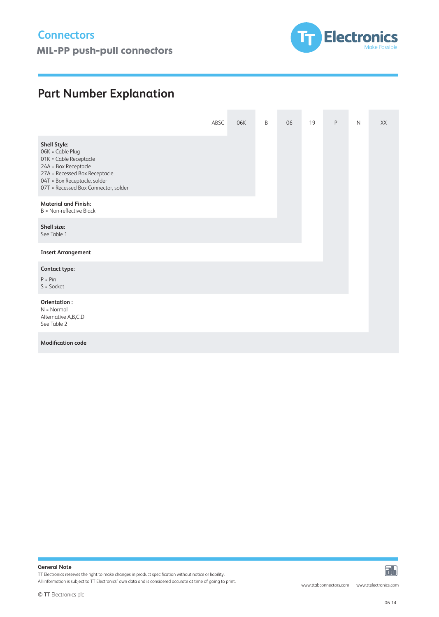**MIL-PP push-pull connectors** and the matter of the matter of the matter of the matter of the matter of the matter of the matter of the matter of the matter of the matter of the matter of the matter of the matter of the ma



## **Part Number Explanation**

|                                                                                                                                                                                                    | ABSC | 06K | B | 06 | 19 | P | $\mathsf{N}$ | XX |
|----------------------------------------------------------------------------------------------------------------------------------------------------------------------------------------------------|------|-----|---|----|----|---|--------------|----|
| <b>Shell Style:</b><br>06K = Cable Plug<br>01K = Cable Receptacle<br>24A = Box Receptacle<br>27A = Recessed Box Receptacle<br>04T = Box Receptacle, solder<br>07T = Recessed Box Connector, solder |      |     |   |    |    |   |              |    |
| <b>Material and Finish:</b><br>B = Non-reflective Black                                                                                                                                            |      |     |   |    |    |   |              |    |
| Shell size:<br>See Table 1                                                                                                                                                                         |      |     |   |    |    |   |              |    |
| <b>Insert Arrangement</b>                                                                                                                                                                          |      |     |   |    |    |   |              |    |
| Contact type:<br>$P = Pin$<br>$S = S$ ocket                                                                                                                                                        |      |     |   |    |    |   |              |    |
| Orientation:<br>$N = Normal$<br>Alternative A,B,C,D<br>See Table 2                                                                                                                                 |      |     |   |    |    |   |              |    |
| <b>Modification code</b>                                                                                                                                                                           |      |     |   |    |    |   |              |    |

### **General Note**

TT Electronics reserves the right to make changes in product specification without notice or liability.

All information is subject to TT Electronics' own data and is considered accurate at time of going to print.